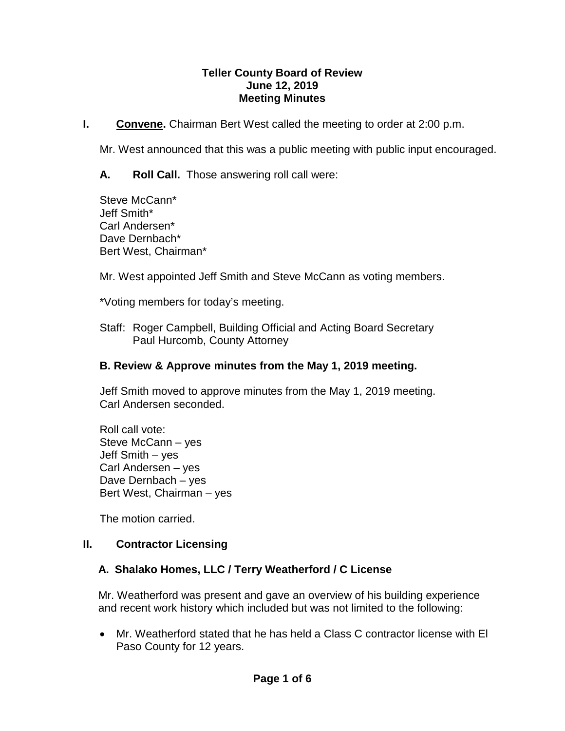#### **Teller County Board of Review June 12, 2019 Meeting Minutes**

**I. Convene.** Chairman Bert West called the meeting to order at 2:00 p.m.

Mr. West announced that this was a public meeting with public input encouraged.

**A. Roll Call.** Those answering roll call were:

Steve McCann\* Jeff Smith\* Carl Andersen\* Dave Dernbach\* Bert West, Chairman\*

Mr. West appointed Jeff Smith and Steve McCann as voting members.

\*Voting members for today's meeting.

Staff: Roger Campbell, Building Official and Acting Board Secretary Paul Hurcomb, County Attorney

#### **B. Review & Approve minutes from the May 1, 2019 meeting.**

Jeff Smith moved to approve minutes from the May 1, 2019 meeting. Carl Andersen seconded.

Roll call vote: Steve McCann – yes Jeff Smith – yes Carl Andersen – yes Dave Dernbach – yes Bert West, Chairman – yes

The motion carried.

#### **II. Contractor Licensing**

#### **A. Shalako Homes, LLC / Terry Weatherford / C License**

Mr. Weatherford was present and gave an overview of his building experience and recent work history which included but was not limited to the following:

• Mr. Weatherford stated that he has held a Class C contractor license with El Paso County for 12 years.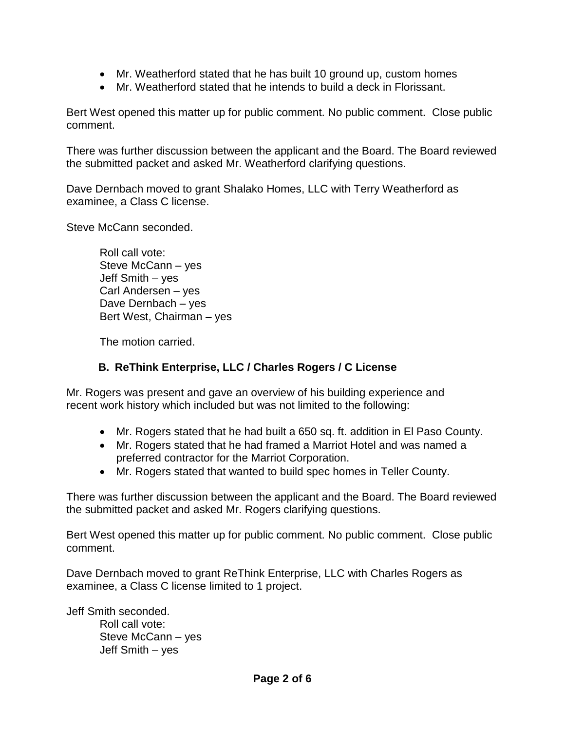- Mr. Weatherford stated that he has built 10 ground up, custom homes
- Mr. Weatherford stated that he intends to build a deck in Florissant.

Bert West opened this matter up for public comment. No public comment. Close public comment.

There was further discussion between the applicant and the Board. The Board reviewed the submitted packet and asked Mr. Weatherford clarifying questions.

Dave Dernbach moved to grant Shalako Homes, LLC with Terry Weatherford as examinee, a Class C license.

Steve McCann seconded.

Roll call vote: Steve McCann – yes Jeff Smith – yes Carl Andersen – yes Dave Dernbach – yes Bert West, Chairman – yes

The motion carried.

### **B. ReThink Enterprise, LLC / Charles Rogers / C License**

Mr. Rogers was present and gave an overview of his building experience and recent work history which included but was not limited to the following:

- Mr. Rogers stated that he had built a 650 sq. ft. addition in El Paso County.
- Mr. Rogers stated that he had framed a Marriot Hotel and was named a preferred contractor for the Marriot Corporation.
- Mr. Rogers stated that wanted to build spec homes in Teller County.

There was further discussion between the applicant and the Board. The Board reviewed the submitted packet and asked Mr. Rogers clarifying questions.

Bert West opened this matter up for public comment. No public comment. Close public comment.

Dave Dernbach moved to grant ReThink Enterprise, LLC with Charles Rogers as examinee, a Class C license limited to 1 project.

Jeff Smith seconded.

Roll call vote: Steve McCann – yes Jeff Smith – yes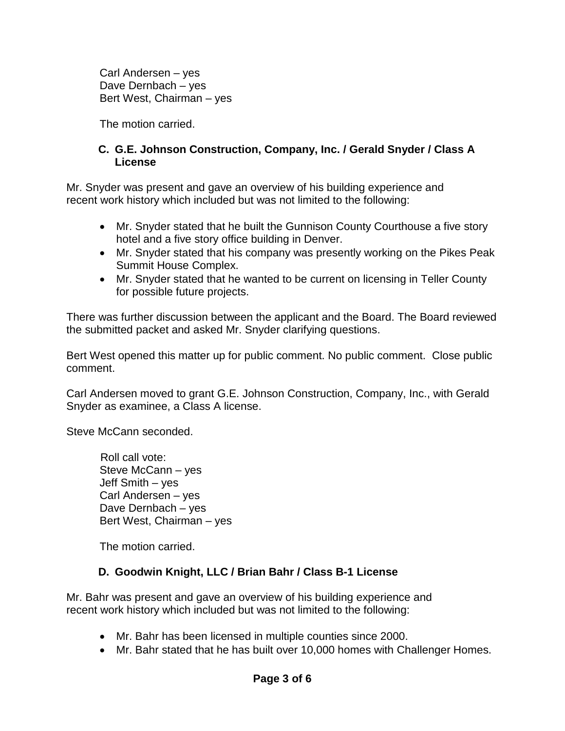Carl Andersen – yes Dave Dernbach – yes Bert West, Chairman – yes

The motion carried.

#### **C. G.E. Johnson Construction, Company, Inc. / Gerald Snyder / Class A License**

Mr. Snyder was present and gave an overview of his building experience and recent work history which included but was not limited to the following:

- Mr. Snyder stated that he built the Gunnison County Courthouse a five story hotel and a five story office building in Denver.
- Mr. Snyder stated that his company was presently working on the Pikes Peak Summit House Complex.
- Mr. Snyder stated that he wanted to be current on licensing in Teller County for possible future projects.

There was further discussion between the applicant and the Board. The Board reviewed the submitted packet and asked Mr. Snyder clarifying questions.

Bert West opened this matter up for public comment. No public comment. Close public comment.

Carl Andersen moved to grant G.E. Johnson Construction, Company, Inc., with Gerald Snyder as examinee, a Class A license.

Steve McCann seconded.

 Roll call vote: Steve McCann – yes Jeff Smith – yes Carl Andersen – yes Dave Dernbach – yes Bert West, Chairman – yes

The motion carried.

#### **D. Goodwin Knight, LLC / Brian Bahr / Class B-1 License**

Mr. Bahr was present and gave an overview of his building experience and recent work history which included but was not limited to the following:

- Mr. Bahr has been licensed in multiple counties since 2000.
- Mr. Bahr stated that he has built over 10,000 homes with Challenger Homes.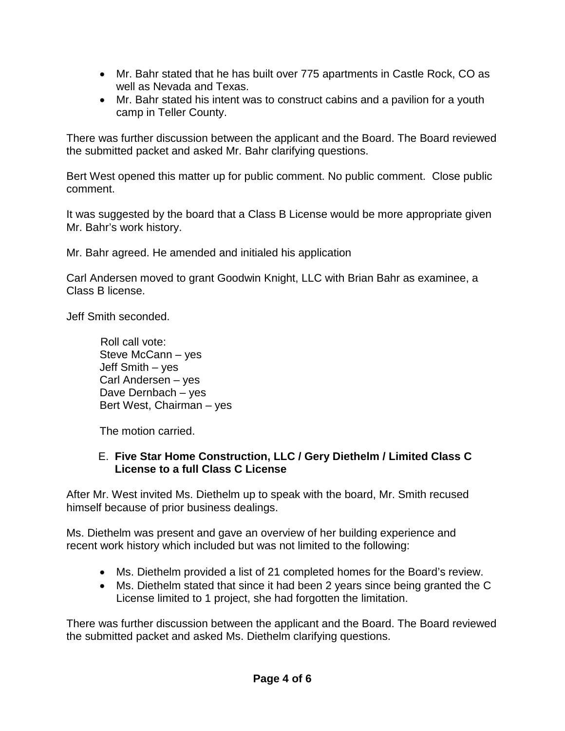- Mr. Bahr stated that he has built over 775 apartments in Castle Rock, CO as well as Nevada and Texas.
- Mr. Bahr stated his intent was to construct cabins and a pavilion for a youth camp in Teller County.

There was further discussion between the applicant and the Board. The Board reviewed the submitted packet and asked Mr. Bahr clarifying questions.

Bert West opened this matter up for public comment. No public comment. Close public comment.

It was suggested by the board that a Class B License would be more appropriate given Mr. Bahr's work history.

Mr. Bahr agreed. He amended and initialed his application

Carl Andersen moved to grant Goodwin Knight, LLC with Brian Bahr as examinee, a Class B license.

Jeff Smith seconded.

 Roll call vote: Steve McCann – yes Jeff Smith – yes Carl Andersen – yes Dave Dernbach – yes Bert West, Chairman – yes

The motion carried.

#### E. **Five Star Home Construction, LLC / Gery Diethelm / Limited Class C License to a full Class C License**

After Mr. West invited Ms. Diethelm up to speak with the board, Mr. Smith recused himself because of prior business dealings.

Ms. Diethelm was present and gave an overview of her building experience and recent work history which included but was not limited to the following:

- Ms. Diethelm provided a list of 21 completed homes for the Board's review.
- Ms. Diethelm stated that since it had been 2 years since being granted the C License limited to 1 project, she had forgotten the limitation.

There was further discussion between the applicant and the Board. The Board reviewed the submitted packet and asked Ms. Diethelm clarifying questions.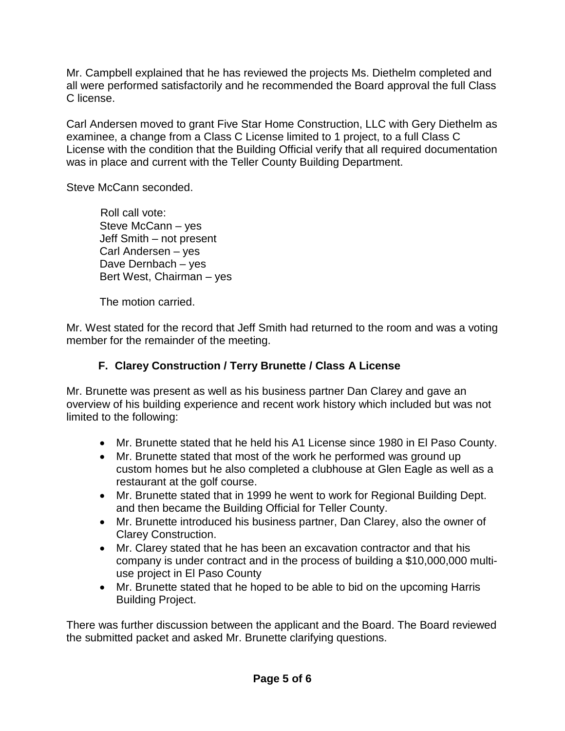Mr. Campbell explained that he has reviewed the projects Ms. Diethelm completed and all were performed satisfactorily and he recommended the Board approval the full Class C license.

Carl Andersen moved to grant Five Star Home Construction, LLC with Gery Diethelm as examinee, a change from a Class C License limited to 1 project, to a full Class C License with the condition that the Building Official verify that all required documentation was in place and current with the Teller County Building Department.

Steve McCann seconded.

 Roll call vote: Steve McCann – yes Jeff Smith – not present Carl Andersen – yes Dave Dernbach – yes Bert West, Chairman – yes

The motion carried.

Mr. West stated for the record that Jeff Smith had returned to the room and was a voting member for the remainder of the meeting.

# **F. Clarey Construction / Terry Brunette / Class A License**

Mr. Brunette was present as well as his business partner Dan Clarey and gave an overview of his building experience and recent work history which included but was not limited to the following:

- Mr. Brunette stated that he held his A1 License since 1980 in El Paso County.
- Mr. Brunette stated that most of the work he performed was ground up custom homes but he also completed a clubhouse at Glen Eagle as well as a restaurant at the golf course.
- Mr. Brunette stated that in 1999 he went to work for Regional Building Dept. and then became the Building Official for Teller County.
- Mr. Brunette introduced his business partner, Dan Clarey, also the owner of Clarey Construction.
- Mr. Clarey stated that he has been an excavation contractor and that his company is under contract and in the process of building a \$10,000,000 multiuse project in El Paso County
- Mr. Brunette stated that he hoped to be able to bid on the upcoming Harris Building Project.

There was further discussion between the applicant and the Board. The Board reviewed the submitted packet and asked Mr. Brunette clarifying questions.